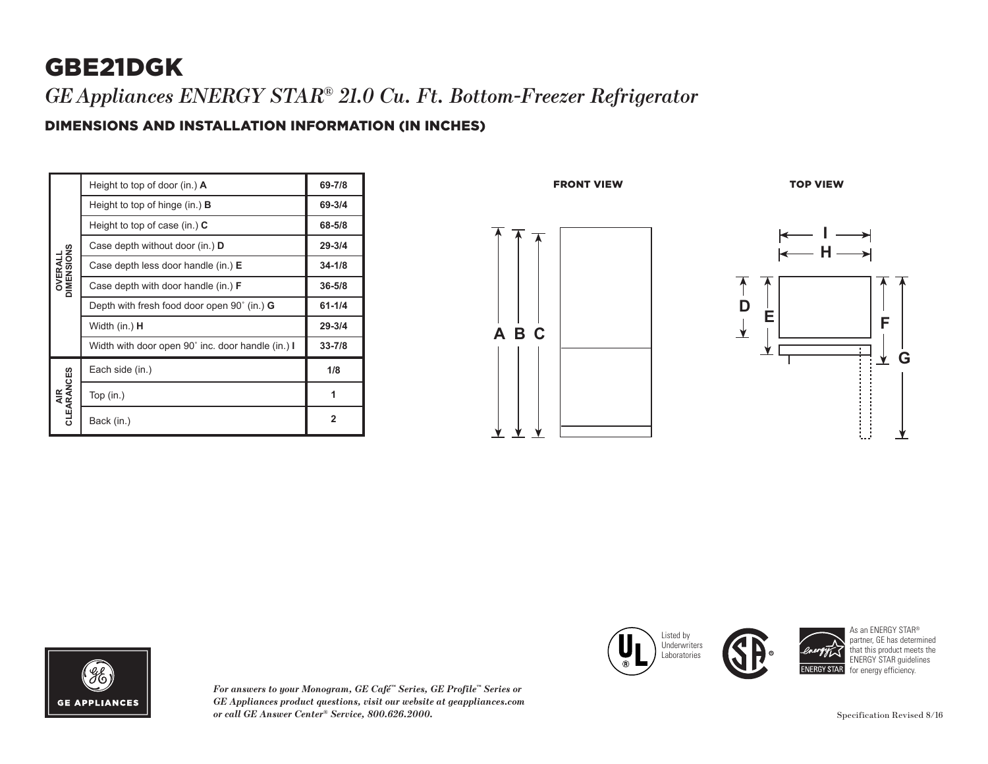## GBE21DGK *GEAppliances ENERGY STAR® 21.0 Cu. Ft. Bottom-Freezer Refrigerator*

### DIMENSIONS AND INSTALLATION INFORMATION (IN INCHES)

| <b>OVERALL</b><br>DIMENSIONS | Height to top of door (in.) A                      | 69-7/8     |
|------------------------------|----------------------------------------------------|------------|
|                              | Height to top of hinge $(in.)$ <b>B</b>            | 69-3/4     |
|                              | Height to top of case (in.) $C$                    | 68-5/8     |
|                              | Case depth without door (in.) D                    | $29 - 3/4$ |
|                              | Case depth less door handle (in.) E                | $34 - 1/8$ |
|                              | Case depth with door handle (in.) <b>F</b>         | $36 - 5/8$ |
|                              | Depth with fresh food door open 90° (in.) <b>G</b> | $61 - 1/4$ |
|                              | Width (in.) <b>H</b>                               | $29 - 3/4$ |
|                              | Width with door open 90° inc. door handle (in.) I  | $33 - 7/8$ |
| AIR<br>CLEARANCES            | Each side (in.)                                    | 1/8        |
|                              | Top $(in.)$                                        | 1          |
|                              | Back (in.)                                         | 2          |





*For answers to your Monogram, GE Café™ Series, GE Profile™ Series or GE Appliances product questions, visit our website at geappliances.com or call GE Answer Center® Service, 800.626.2000.* Specification Revised 8/16





As an ENERGY STAR® partner, GE has determined that this product meets the ENERGY STAR guidelines for energy efficiency.